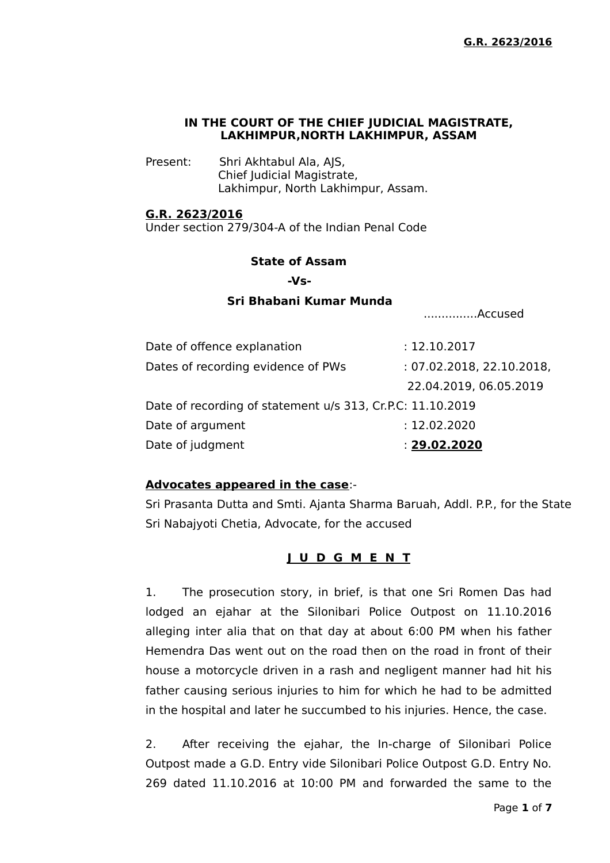### **IN THE COURT OF THE CHIEF JUDICIAL MAGISTRATE, LAKHIMPUR,NORTH LAKHIMPUR, ASSAM**

Present: Shri Akhtabul Ala, AJS, Chief Judicial Magistrate, Lakhimpur, North Lakhimpur, Assam.

### **G.R. 2623/2016**

Under section 279/304-A of the Indian Penal Code

#### **State of Assam**

 **-Vs-**

## **Sri Bhabani Kumar Munda**

...............Accused

| Date of offence explanation                                | : 12.10.2017              |
|------------------------------------------------------------|---------------------------|
| Dates of recording evidence of PWs                         | : 07.02.2018, 22.10.2018, |
|                                                            | 22.04.2019, 06.05.2019    |
| Date of recording of statement u/s 313, Cr.P.C: 11.10.2019 |                           |
| Date of argument                                           | : 12.02.2020              |
| Date of judgment                                           | : 29.02.2020              |

### **Advocates appeared in the case**:-

Sri Prasanta Dutta and Smti. Ajanta Sharma Baruah, Addl. P.P., for the State Sri Nabajyoti Chetia, Advocate, for the accused

**J U D G M E N T**

1. The prosecution story, in brief, is that one Sri Romen Das had lodged an ejahar at the Silonibari Police Outpost on 11.10.2016 alleging inter alia that on that day at about 6:00 PM when his father Hemendra Das went out on the road then on the road in front of their house a motorcycle driven in a rash and negligent manner had hit his father causing serious injuries to him for which he had to be admitted in the hospital and later he succumbed to his injuries. Hence, the case.

2. After receiving the ejahar, the In-charge of Silonibari Police Outpost made a G.D. Entry vide Silonibari Police Outpost G.D. Entry No. 269 dated 11.10.2016 at 10:00 PM and forwarded the same to the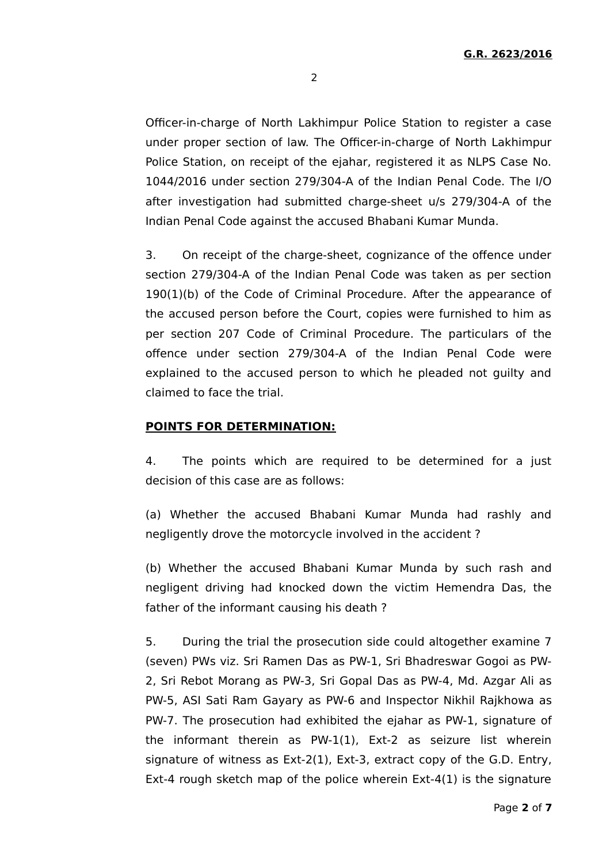2

Officer-in-charge of North Lakhimpur Police Station to register a case under proper section of law. The Officer-in-charge of North Lakhimpur Police Station, on receipt of the ejahar, registered it as NLPS Case No. 1044/2016 under section 279/304-A of the Indian Penal Code. The I/O after investigation had submitted charge-sheet u/s 279/304-A of the Indian Penal Code against the accused Bhabani Kumar Munda.

3. On receipt of the charge-sheet, cognizance of the offence under section 279/304-A of the Indian Penal Code was taken as per section 190(1)(b) of the Code of Criminal Procedure. After the appearance of the accused person before the Court, copies were furnished to him as per section 207 Code of Criminal Procedure. The particulars of the offence under section 279/304-A of the Indian Penal Code were explained to the accused person to which he pleaded not guilty and claimed to face the trial.

### **POINTS FOR DETERMINATION:**

4. The points which are required to be determined for a just decision of this case are as follows:

(a) Whether the accused Bhabani Kumar Munda had rashly and negligently drove the motorcycle involved in the accident ?

(b) Whether the accused Bhabani Kumar Munda by such rash and negligent driving had knocked down the victim Hemendra Das, the father of the informant causing his death ?

5. During the trial the prosecution side could altogether examine 7 (seven) PWs viz. Sri Ramen Das as PW-1, Sri Bhadreswar Gogoi as PW-2, Sri Rebot Morang as PW-3, Sri Gopal Das as PW-4, Md. Azgar Ali as PW-5, ASI Sati Ram Gayary as PW-6 and Inspector Nikhil Rajkhowa as PW-7. The prosecution had exhibited the ejahar as PW-1, signature of the informant therein as PW-1(1), Ext-2 as seizure list wherein signature of witness as Ext-2(1), Ext-3, extract copy of the G.D. Entry, Ext-4 rough sketch map of the police wherein Ext-4(1) is the signature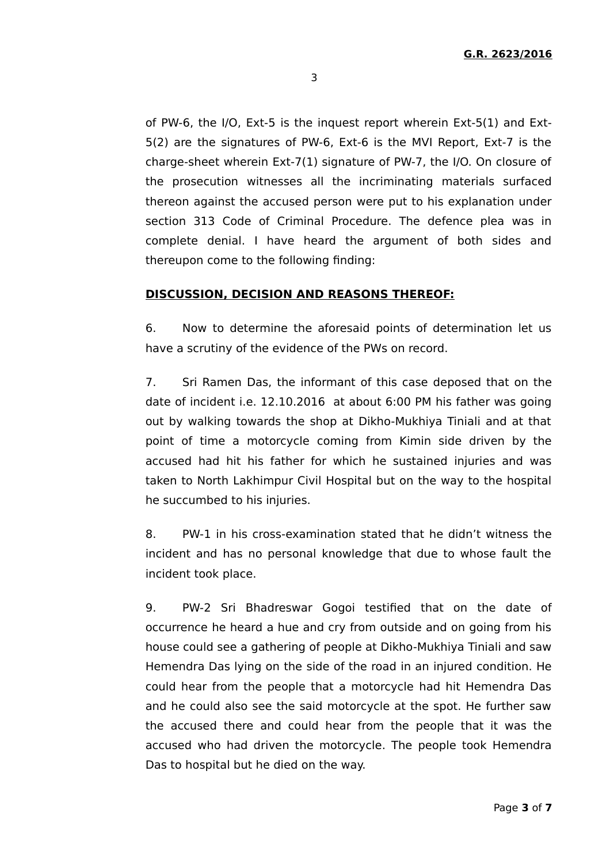of PW-6, the I/O, Ext-5 is the inquest report wherein Ext-5(1) and Ext-5(2) are the signatures of PW-6, Ext-6 is the MVI Report, Ext-7 is the charge-sheet wherein Ext-7(1) signature of PW-7, the I/O. On closure of the prosecution witnesses all the incriminating materials surfaced thereon against the accused person were put to his explanation under section 313 Code of Criminal Procedure. The defence plea was in complete denial. I have heard the argument of both sides and thereupon come to the following finding:

#### **DISCUSSION, DECISION AND REASONS THEREOF:**

6. Now to determine the aforesaid points of determination let us have a scrutiny of the evidence of the PWs on record.

7. Sri Ramen Das, the informant of this case deposed that on the date of incident i.e. 12.10.2016 at about 6:00 PM his father was going out by walking towards the shop at Dikho-Mukhiya Tiniali and at that point of time a motorcycle coming from Kimin side driven by the accused had hit his father for which he sustained injuries and was taken to North Lakhimpur Civil Hospital but on the way to the hospital he succumbed to his injuries.

8. PW-1 in his cross-examination stated that he didn't witness the incident and has no personal knowledge that due to whose fault the incident took place.

9. PW-2 Sri Bhadreswar Gogoi testified that on the date of occurrence he heard a hue and cry from outside and on going from his house could see a gathering of people at Dikho-Mukhiya Tiniali and saw Hemendra Das lying on the side of the road in an injured condition. He could hear from the people that a motorcycle had hit Hemendra Das and he could also see the said motorcycle at the spot. He further saw the accused there and could hear from the people that it was the accused who had driven the motorcycle. The people took Hemendra Das to hospital but he died on the way.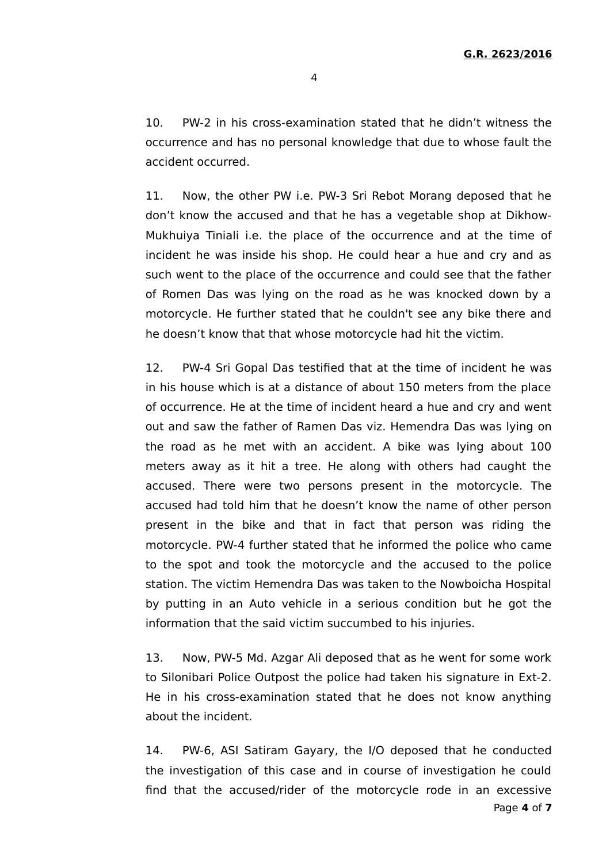10. PW-2 in his cross-examination stated that he didn't witness the occurrence and has no personal knowledge that due to whose fault the accident occurred.

11. Now, the other PW i.e. PW-3 Sri Rebot Morang deposed that he don't know the accused and that he has a vegetable shop at Dikhow-Mukhuiya Tiniali i.e. the place of the occurrence and at the time of incident he was inside his shop. He could hear a hue and cry and as such went to the place of the occurrence and could see that the father of Romen Das was lying on the road as he was knocked down by a motorcycle. He further stated that he couldn't see any bike there and he doesn't know that that whose motorcycle had hit the victim.

12. PW-4 Sri Gopal Das testified that at the time of incident he was in his house which is at a distance of about 150 meters from the place of occurrence. He at the time of incident heard a hue and cry and went out and saw the father of Ramen Das viz. Hemendra Das was lying on the road as he met with an accident. A bike was lying about 100 meters away as it hit a tree. He along with others had caught the accused. There were two persons present in the motorcycle. The accused had told him that he doesn't know the name of other person present in the bike and that in fact that person was riding the motorcycle. PW-4 further stated that he informed the police who came to the spot and took the motorcycle and the accused to the police station. The victim Hemendra Das was taken to the Nowboicha Hospital by putting in an Auto vehicle in a serious condition but he got the information that the said victim succumbed to his injuries.

13. Now, PW-5 Md. Azgar Ali deposed that as he went for some work to Silonibari Police Outpost the police had taken his signature in Ext-2. He in his cross-examination stated that he does not know anything about the incident.

14. PW-6, ASI Satiram Gayary, the I/O deposed that he conducted the investigation of this case and in course of investigation he could find that the accused/rider of the motorcycle rode in an excessive Page **4** of **7**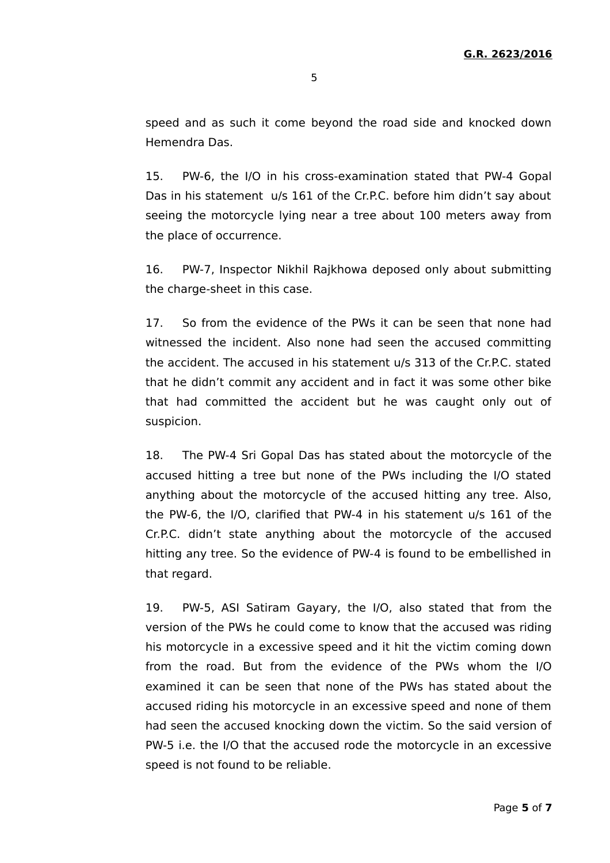speed and as such it come beyond the road side and knocked down Hemendra Das.

15. PW-6, the I/O in his cross-examination stated that PW-4 Gopal Das in his statement u/s 161 of the Cr.P.C. before him didn't say about seeing the motorcycle lying near a tree about 100 meters away from the place of occurrence.

16. PW-7, Inspector Nikhil Rajkhowa deposed only about submitting the charge-sheet in this case.

17. So from the evidence of the PWs it can be seen that none had witnessed the incident. Also none had seen the accused committing the accident. The accused in his statement u/s 313 of the Cr.P.C. stated that he didn't commit any accident and in fact it was some other bike that had committed the accident but he was caught only out of suspicion.

18. The PW-4 Sri Gopal Das has stated about the motorcycle of the accused hitting a tree but none of the PWs including the I/O stated anything about the motorcycle of the accused hitting any tree. Also, the PW-6, the I/O, clarified that PW-4 in his statement u/s 161 of the Cr.P.C. didn't state anything about the motorcycle of the accused hitting any tree. So the evidence of PW-4 is found to be embellished in that regard.

19. PW-5, ASI Satiram Gayary, the I/O, also stated that from the version of the PWs he could come to know that the accused was riding his motorcycle in a excessive speed and it hit the victim coming down from the road. But from the evidence of the PWs whom the I/O examined it can be seen that none of the PWs has stated about the accused riding his motorcycle in an excessive speed and none of them had seen the accused knocking down the victim. So the said version of PW-5 i.e. the I/O that the accused rode the motorcycle in an excessive speed is not found to be reliable.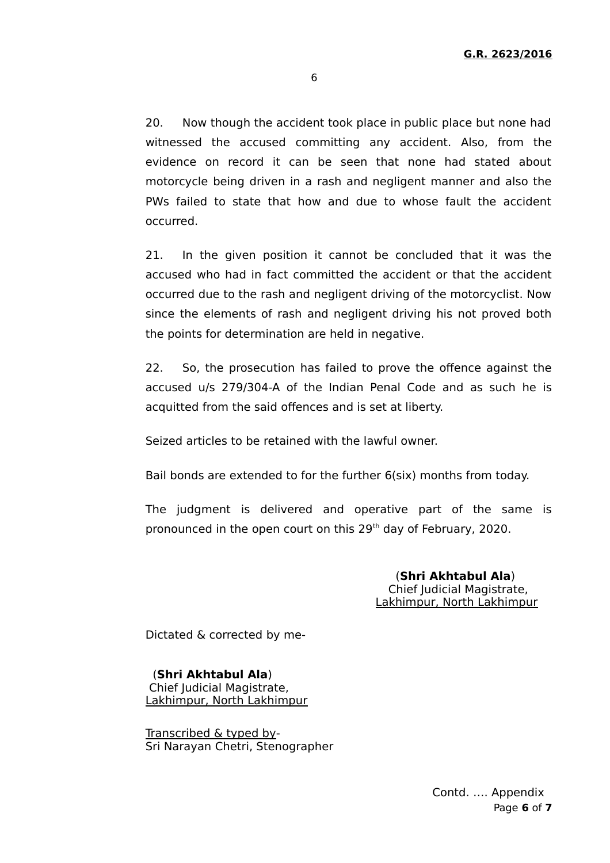6

20. Now though the accident took place in public place but none had witnessed the accused committing any accident. Also, from the evidence on record it can be seen that none had stated about motorcycle being driven in a rash and negligent manner and also the PWs failed to state that how and due to whose fault the accident occurred.

21. In the given position it cannot be concluded that it was the accused who had in fact committed the accident or that the accident occurred due to the rash and negligent driving of the motorcyclist. Now since the elements of rash and negligent driving his not proved both the points for determination are held in negative.

22. So, the prosecution has failed to prove the offence against the accused u/s 279/304-A of the Indian Penal Code and as such he is acquitted from the said offences and is set at liberty.

Seized articles to be retained with the lawful owner.

Bail bonds are extended to for the further 6(six) months from today.

The judgment is delivered and operative part of the same is pronounced in the open court on this 29<sup>th</sup> day of February, 2020.

> (**Shri Akhtabul Ala**) Chief Judicial Magistrate, Lakhimpur, North Lakhimpur

Dictated & corrected by me-

 (**Shri Akhtabul Ala**) Chief Judicial Magistrate, Lakhimpur, North Lakhimpur

Transcribed & typed by-Sri Narayan Chetri, Stenographer